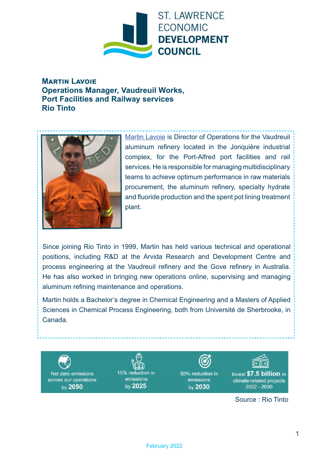

**Martin Lavoie Operations Manager, Vaudreuil Works, Port Facilities and Railway services Rio Tinto**



[Martin Lavoie](https://www.linkedin.com/in/martin-lavoie-32480818/) is Director of Operations for the Vaudreuil aluminum refinery located in the Jonquière industrial complex, for the Port-Alfred port facilities and rail services. He is responsible for managing multidisciplinary teams to achieve optimum performance in raw materials procurement, the aluminum refinery, specialty hydrate and fluoride production and the spent pot lining treatment plant.

Since joining Rio Tinto in 1999, Martin has held various technical and operational positions, including R&D at the Arvida Research and Development Centre and process engineering at the Vaudreuil refinery and the Gove refinery in Australia. He has also worked in bringing new operations online, supervising and managing aluminum refining maintenance and operations.

Martin holds a Bachelor's degree in Chemical Engineering and a Masters of Applied Sciences in Chemical Process Engineering, both from Université de Sherbrooke, in Canada.



Source : Rio Tinto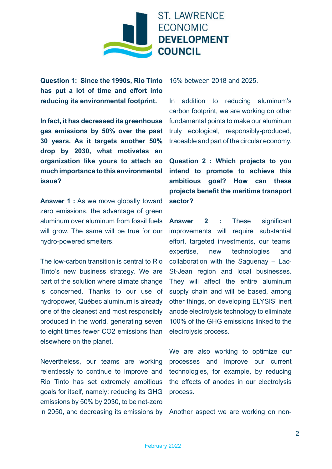

**Question 1: Since the 1990s, Rio Tinto has put a lot of time and effort into reducing its environmental footprint.** 

**In fact, it has decreased its greenhouse gas emissions by 50% over the past 30 years. As it targets another 50% drop by 2030, what motivates an organization like yours to attach so much importance to this environmental issue?**

**Answer 1 :** As we move globally toward zero emissions, the advantage of green aluminum over aluminum from fossil fuels will grow. The same will be true for our hydro-powered smelters.

The low-carbon transition is central to Rio Tinto's new business strategy. We are part of the solution where climate change is concerned. Thanks to our use of hydropower, Québec aluminum is already one of the cleanest and most responsibly produced in the world, generating seven to eight times fewer CO2 emissions than elsewhere on the planet.

Nevertheless, our teams are working relentlessly to continue to improve and Rio Tinto has set extremely ambitious goals for itself, namely: reducing its GHG emissions by 50% by 2030, to be net-zero in 2050, and decreasing its emissions by Another aspect we are working on non-

15% between 2018 and 2025.

In addition to reducing aluminum's carbon footprint, we are working on other fundamental points to make our aluminum truly ecological, responsibly-produced, traceable and part of the circular economy.

**Question 2 : Which projects to you intend to promote to achieve this ambitious goal? How can these projects benefit the maritime transport sector?**

**Answer 2 :** These significant improvements will require substantial effort, targeted investments, our teams' expertise, new technologies and collaboration with the Saguenay – Lac-St-Jean region and local businesses. They will affect the entire aluminum supply chain and will be based, among other things, on developing ELYSIS' inert anode electrolysis technology to eliminate 100% of the GHG emissions linked to the electrolysis process.

We are also working to optimize our processes and improve our current technologies, for example, by reducing the effects of anodes in our electrolysis process.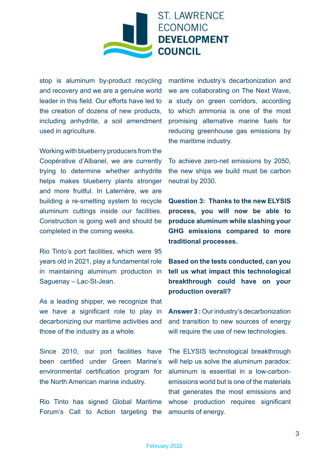

stop is aluminum by-product recycling and recovery and we are a genuine world leader in this field. Our efforts have led to the creation of dozens of new products, including anhydrite, a soil amendment used in agriculture.

Working with blueberry producers from the Coopérative d'Albanel, we are currently trying to determine whether anhydrite helps makes blueberry plants stronger and more fruitful. In Laterrière, we are building a re-smelting system to recycle aluminum cuttings inside our facilities. Construction is going well and should be completed in the coming weeks.

Rio Tinto's port facilities, which were 95 years old in 2021, play a fundamental role in maintaining aluminum production in Saguenay – Lac-St-Jean.

As a leading shipper, we recognize that we have a significant role to play in decarbonizing our maritime activities and those of the industry as a whole.

Since 2010, our port facilities have been certified under Green Marine's environmental certification program for the North American marine industry.

Rio Tinto has signed Global Maritime Forum's Call to Action targeting the maritime industry's decarbonization and we are collaborating on The Next Wave, a study on green corridors, according to which ammonia is one of the most promising alternative marine fuels for reducing greenhouse gas emissions by the maritime industry.

To achieve zero-net emissions by 2050, the new ships we build must be carbon neutral by 2030.

**Question 3: Thanks to the new ELYSIS process, you will now be able to produce aluminum while slashing your GHG emissions compared to more traditional processes.** 

**Based on the tests conducted, can you tell us what impact this technological breakthrough could have on your production overall?**

**Answer 3 :** Our industry's decarbonization and transition to new sources of energy will require the use of new technologies.

The ELYSIS technological breakthrough will help us solve the aluminum paradox: aluminum is essential in a low-carbonemissions world but is one of the materials that generates the most emissions and whose production requires significant amounts of energy.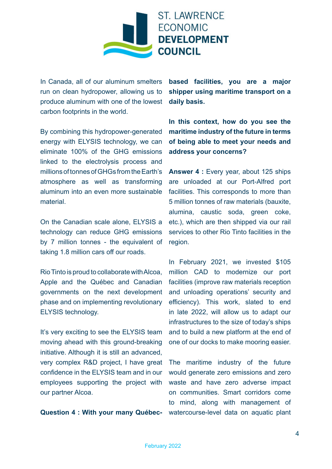

In Canada, all of our aluminum smelters run on clean hydropower, allowing us to produce aluminum with one of the lowest carbon footprints in the world.

By combining this hydropower-generated energy with ELYSIS technology, we can eliminate 100% of the GHG emissions linked to the electrolysis process and millions of tonnes of GHGs from the Earth's atmosphere as well as transforming aluminum into an even more sustainable material.

On the Canadian scale alone, ELYSIS a technology can reduce GHG emissions by 7 million tonnes - the equivalent of taking 1.8 million cars off our roads.

Rio Tinto is proud to collaborate with Alcoa, Apple and the Québec and Canadian governments on the next development phase and on implementing revolutionary ELYSIS technology.

It's very exciting to see the ELYSIS team moving ahead with this ground-breaking initiative. Although it is still an advanced, very complex R&D project, I have great confidence in the ELYSIS team and in our employees supporting the project with our partner Alcoa.

**Question 4 : With your many Québec-**

**based facilities, you are a major shipper using maritime transport on a daily basis.** 

**In this context, how do you see the maritime industry of the future in terms of being able to meet your needs and address your concerns?**

**Answer 4 :** Every year, about 125 ships are unloaded at our Port-Alfred port facilities. This corresponds to more than 5 million tonnes of raw materials (bauxite, alumina, caustic soda, green coke, etc.), which are then shipped via our rail services to other Rio Tinto facilities in the region.

In February 2021, we invested \$105 million CAD to modernize our port facilities (improve raw materials reception and unloading operations' security and efficiency). This work, slated to end in late 2022, will allow us to adapt our infrastructures to the size of today's ships and to build a new platform at the end of one of our docks to make mooring easier.

The maritime industry of the future would generate zero emissions and zero waste and have zero adverse impact on communities. Smart corridors come to mind, along with management of watercourse-level data on aquatic plant